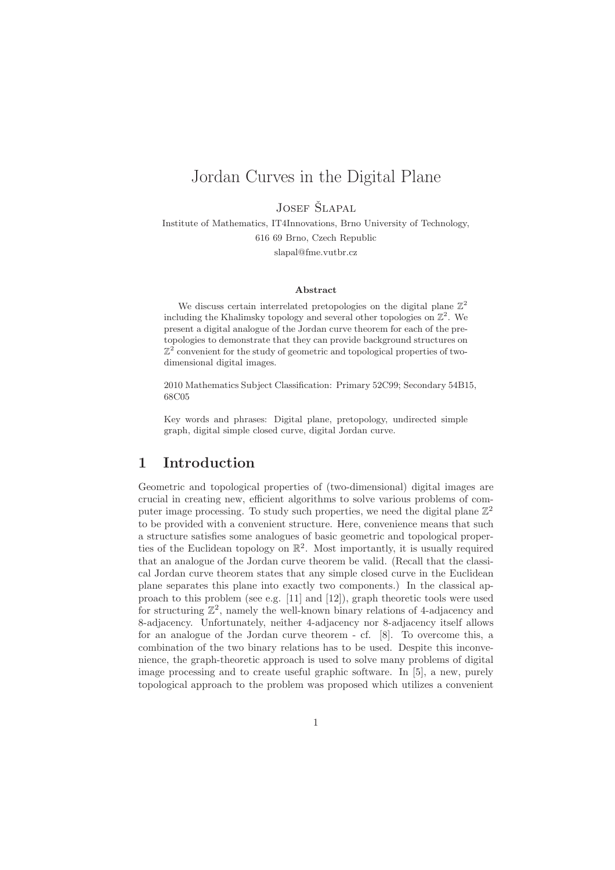# Jordan Curves in the Digital Plane

JOSEF ŠLAPAL

Institute of Mathematics, IT4Innovations, Brno University of Technology, 616 69 Brno, Czech Republic slapal@fme.vutbr.cz

#### Abstract

We discuss certain interrelated pretopologies on the digital plane  $\mathbb{Z}^2$ including the Khalimsky topology and several other topologies on  $\mathbb{Z}^2$ . We present a digital analogue of the Jordan curve theorem for each of the pretopologies to demonstrate that they can provide background structures on  $\mathbb{Z}^2$  convenient for the study of geometric and topological properties of twodimensional digital images.

2010 Mathematics Subject Classification: Primary 52C99; Secondary 54B15, 68C05

Key words and phrases: Digital plane, pretopology, undirected simple graph, digital simple closed curve, digital Jordan curve.

### 1 Introduction

Geometric and topological properties of (two-dimensional) digital images are crucial in creating new, efficient algorithms to solve various problems of computer image processing. To study such properties, we need the digital plane  $\mathbb{Z}^2$ to be provided with a convenient structure. Here, convenience means that such a structure satisfies some analogues of basic geometric and topological properties of the Euclidean topology on R 2 . Most importantly, it is usually required that an analogue of the Jordan curve theorem be valid. (Recall that the classical Jordan curve theorem states that any simple closed curve in the Euclidean plane separates this plane into exactly two components.) In the classical approach to this problem (see e.g. [11] and [12]), graph theoretic tools were used for structuring  $\mathbb{Z}^2$ , namely the well-known binary relations of 4-adjacency and 8-adjacency. Unfortunately, neither 4-adjacency nor 8-adjacency itself allows for an analogue of the Jordan curve theorem - cf. [8]. To overcome this, a combination of the two binary relations has to be used. Despite this inconvenience, the graph-theoretic approach is used to solve many problems of digital image processing and to create useful graphic software. In [5], a new, purely topological approach to the problem was proposed which utilizes a convenient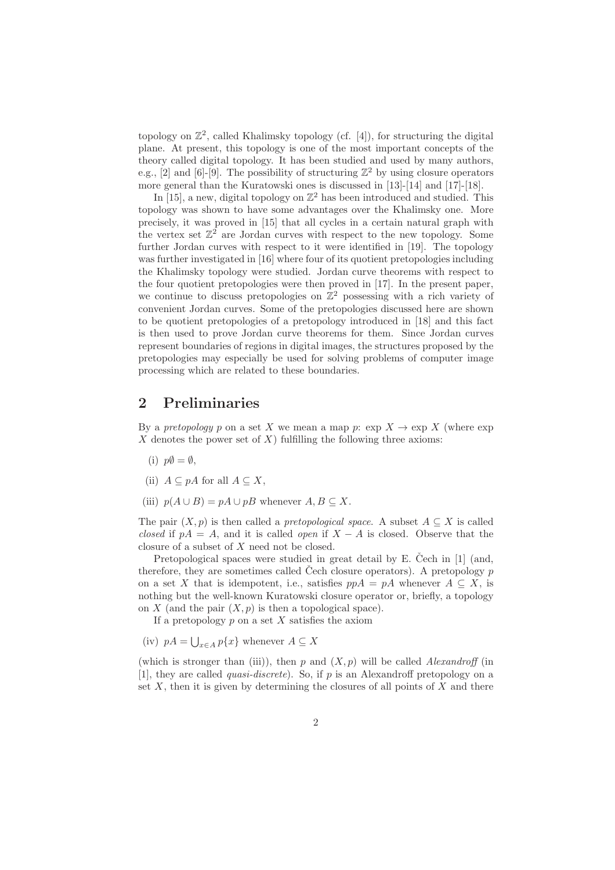topology on  $\mathbb{Z}^2$ , called Khalimsky topology (cf. [4]), for structuring the digital plane. At present, this topology is one of the most important concepts of the theory called digital topology. It has been studied and used by many authors, e.g., [2] and [6]-[9]. The possibility of structuring  $\mathbb{Z}^2$  by using closure operators more general than the Kuratowski ones is discussed in [13]-[14] and [17]-[18].

In [15], a new, digital topology on  $\mathbb{Z}^2$  has been introduced and studied. This topology was shown to have some advantages over the Khalimsky one. More precisely, it was proved in [15] that all cycles in a certain natural graph with the vertex set  $\mathbb{Z}^2$  are Jordan curves with respect to the new topology. Some further Jordan curves with respect to it were identified in [19]. The topology was further investigated in [16] where four of its quotient pretopologies including the Khalimsky topology were studied. Jordan curve theorems with respect to the four quotient pretopologies were then proved in [17]. In the present paper, we continue to discuss pretopologies on  $\mathbb{Z}^2$  possessing with a rich variety of convenient Jordan curves. Some of the pretopologies discussed here are shown to be quotient pretopologies of a pretopology introduced in [18] and this fact is then used to prove Jordan curve theorems for them. Since Jordan curves represent boundaries of regions in digital images, the structures proposed by the pretopologies may especially be used for solving problems of computer image processing which are related to these boundaries.

### 2 Preliminaries

By a *pretopology* p on a set X we mean a map p:  $\exp X \to \exp X$  (where  $\exp X$  $X$  denotes the power set of  $X$ ) fulfilling the following three axioms:

- (i)  $p\emptyset = \emptyset$ ,
- (ii)  $A \subseteq pA$  for all  $A \subseteq X$ ,
- (iii)  $p(A \cup B) = pA \cup pB$  whenever  $A, B \subseteq X$ .

The pair  $(X, p)$  is then called a *pretopological space*. A subset  $A \subseteq X$  is called closed if  $pA = A$ , and it is called *open* if  $X - A$  is closed. Observe that the closure of a subset of X need not be closed.

Pretopological spaces were studied in great detail by E. Čech in  $[1]$  (and, therefore, they are sometimes called Cech closure operators). A pretopology  $p$ on a set X that is idempotent, i.e., satisfies  $ppA = pA$  whenever  $A \subseteq X$ , is nothing but the well-known Kuratowski closure operator or, briefly, a topology on X (and the pair  $(X, p)$  is then a topological space).

If a pretopology  $p$  on a set  $X$  satisfies the axiom

(iv)  $pA = \bigcup_{x \in A} p\{x\}$  whenever  $A \subseteq X$ 

(which is stronger than (iii)), then p and  $(X, p)$  will be called Alexandroff (in [1], they are called quasi-discrete). So, if p is an Alexandroff pretopology on a set  $X$ , then it is given by determining the closures of all points of  $X$  and there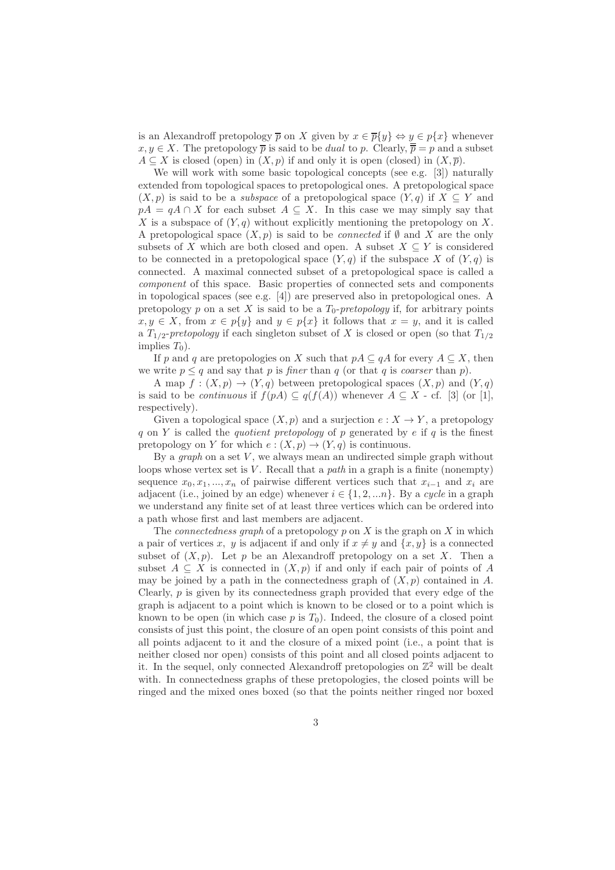is an Alexandroff pretopology  $\overline{p}$  on X given by  $x \in \overline{p}{y} \Leftrightarrow y \in p{x}$  whenever  $x, y \in X$ . The pretopology  $\overline{p}$  is said to be *dual* to p. Clearly,  $\overline{\overline{p}} = p$  and a subset  $A \subseteq X$  is closed (open) in  $(X, p)$  if and only it is open (closed) in  $(X, \overline{p})$ .

We will work with some basic topological concepts (see e.g. [3]) naturally extended from topological spaces to pretopological ones. A pretopological space  $(X, p)$  is said to be a *subspace* of a pretopological space  $(Y, q)$  if  $X \subseteq Y$  and  $pA = qA \cap X$  for each subset  $A \subseteq X$ . In this case we may simply say that X is a subspace of  $(Y, q)$  without explicitly mentioning the pretopology on X. A pretopological space  $(X, p)$  is said to be *connected* if  $\emptyset$  and X are the only subsets of X which are both closed and open. A subset  $X \subseteq Y$  is considered to be connected in a pretopological space  $(Y, q)$  if the subspace X of  $(Y, q)$  is connected. A maximal connected subset of a pretopological space is called a component of this space. Basic properties of connected sets and components in topological spaces (see e.g. [4]) are preserved also in pretopological ones. A pretopology p on a set X is said to be a  $T_0$ -pretopology if, for arbitrary points  $x, y \in X$ , from  $x \in p{y}$  and  $y \in p{x}$  it follows that  $x = y$ , and it is called a  $T_{1/2}$ -pretopology if each singleton subset of X is closed or open (so that  $T_{1/2}$ ) implies  $T_0$ ).

If p and q are pretopologies on X such that  $pA \subseteq qA$  for every  $A \subseteq X$ , then we write  $p \leq q$  and say that p is *finer* than q (or that q is *coarser* than p).

A map  $f : (X, p) \to (Y, q)$  between pretopological spaces  $(X, p)$  and  $(Y, q)$ is said to be *continuous* if  $f(pA) \subseteq q(f(A))$  whenever  $A \subseteq X$  - cf. [3] (or [1], respectively).

Given a topological space  $(X, p)$  and a surjection  $e: X \to Y$ , a pretopology q on Y is called the quotient pretopology of p generated by e if q is the finest pretopology on Y for which  $e:(X,p) \to (Y,q)$  is continuous.

By a  $graph$  on a set  $V$ , we always mean an undirected simple graph without loops whose vertex set is  $V$ . Recall that a *path* in a graph is a finite (nonempty) sequence  $x_0, x_1, ..., x_n$  of pairwise different vertices such that  $x_{i-1}$  and  $x_i$  are adjacent (i.e., joined by an edge) whenever  $i \in \{1, 2, \ldots n\}$ . By a cycle in a graph we understand any finite set of at least three vertices which can be ordered into a path whose first and last members are adjacent.

The *connectedness graph* of a pretopology  $p$  on  $X$  is the graph on  $X$  in which a pair of vertices x, y is adjacent if and only if  $x \neq y$  and  $\{x, y\}$  is a connected subset of  $(X, p)$ . Let p be an Alexandroff pretopology on a set X. Then a subset  $A \subseteq X$  is connected in  $(X, p)$  if and only if each pair of points of A may be joined by a path in the connectedness graph of  $(X, p)$  contained in A. Clearly,  $p$  is given by its connectedness graph provided that every edge of the graph is adjacent to a point which is known to be closed or to a point which is known to be open (in which case  $p$  is  $T_0$ ). Indeed, the closure of a closed point consists of just this point, the closure of an open point consists of this point and all points adjacent to it and the closure of a mixed point (i.e., a point that is neither closed nor open) consists of this point and all closed points adjacent to it. In the sequel, only connected Alexandroff pretopologies on  $\mathbb{Z}^2$  will be dealt with. In connectedness graphs of these pretopologies, the closed points will be ringed and the mixed ones boxed (so that the points neither ringed nor boxed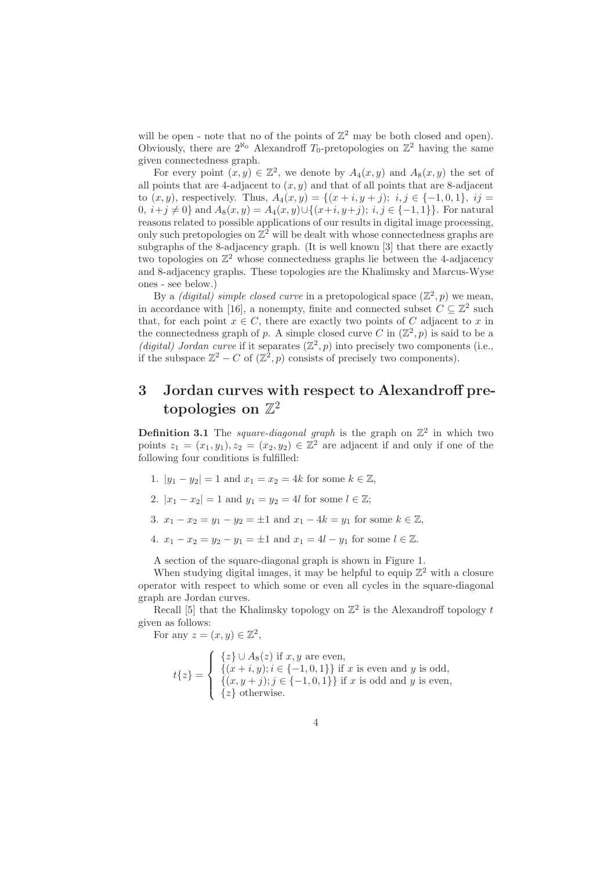will be open - note that no of the points of  $\mathbb{Z}^2$  may be both closed and open). Obviously, there are  $2^{\aleph_0}$  Alexandroff  $T_0$ -pretopologies on  $\mathbb{Z}^2$  having the same given connectedness graph.

For every point  $(x, y) \in \mathbb{Z}^2$ , we denote by  $A_4(x, y)$  and  $A_8(x, y)$  the set of all points that are 4-adjacent to  $(x, y)$  and that of all points that are 8-adjacent to  $(x, y)$ , respectively. Thus,  $A_4(x, y) = \{(x + i, y + j); i, j \in \{-1, 0, 1\}, i \}$ 0,  $i+j \neq 0$ } and  $A_8(x, y) = A_4(x, y) \cup \{(x+i, y+j); i, j \in \{-1, 1\}\}\.$  For natural reasons related to possible applications of our results in digital image processing, only such pretopologies on  $\mathbb{Z}^2$  will be dealt with whose connectedness graphs are subgraphs of the 8-adjacency graph. (It is well known [3] that there are exactly two topologies on  $\mathbb{Z}^2$  whose connectedness graphs lie between the 4-adjacency and 8-adjacency graphs. These topologies are the Khalimsky and Marcus-Wyse ones - see below.)

By a *(digital)* simple closed curve in a pretopological space  $(\mathbb{Z}^2, p)$  we mean, in accordance with [16], a nonempty, finite and connected subset  $C \subseteq \mathbb{Z}^2$  such that, for each point  $x \in C$ , there are exactly two points of C adjacent to x in the connectedness graph of p. A simple closed curve C in  $(\mathbb{Z}^2, p)$  is said to be a (digital) Jordan curve if it separates  $(\mathbb{Z}^2, p)$  into precisely two components (i.e., if the subspace  $\mathbb{Z}^2 - C$  of  $(\mathbb{Z}^2, p)$  consists of precisely two components).

## 3 Jordan curves with respect to Alexandroff pre $topologies \; on \; \mathbb{Z}^2$

**Definition 3.1** The *square-diagonal graph* is the graph on  $\mathbb{Z}^2$  in which two points  $z_1 = (x_1, y_1), z_2 = (x_2, y_2) \in \mathbb{Z}^2$  are adjacent if and only if one of the following four conditions is fulfilled:

- 1.  $|y_1 y_2| = 1$  and  $x_1 = x_2 = 4k$  for some  $k \in \mathbb{Z}$ ,
- 2.  $|x_1 x_2| = 1$  and  $y_1 = y_2 = 4l$  for some  $l \in \mathbb{Z}$ ;
- 3.  $x_1 x_2 = y_1 y_2 = \pm 1$  and  $x_1 4k = y_1$  for some  $k \in \mathbb{Z}$ ,
- 4.  $x_1 x_2 = y_2 y_1 = \pm 1$  and  $x_1 = 4l y_1$  for some  $l \in \mathbb{Z}$ .

A section of the square-diagonal graph is shown in Figure 1.

When studying digital images, it may be helpful to equip  $\mathbb{Z}^2$  with a closure operator with respect to which some or even all cycles in the square-diagonal graph are Jordan curves.

Recall [5] that the Khalimsky topology on  $\mathbb{Z}^2$  is the Alexandroff topology t given as follows:

For any  $z = (x, y) \in \mathbb{Z}^2$ ,

$$
t\{z\} = \begin{cases} \{z\} \cup A_8(z) \text{ if } x, y \text{ are even,} \\ \{(x+i,y); i \in \{-1,0,1\}\} \text{ if } x \text{ is even and } y \text{ is odd,} \\ \{(x,y+j); j \in \{-1,0,1\}\} \text{ if } x \text{ is odd and } y \text{ is even,} \\ \{z\} \text{ otherwise.} \end{cases}
$$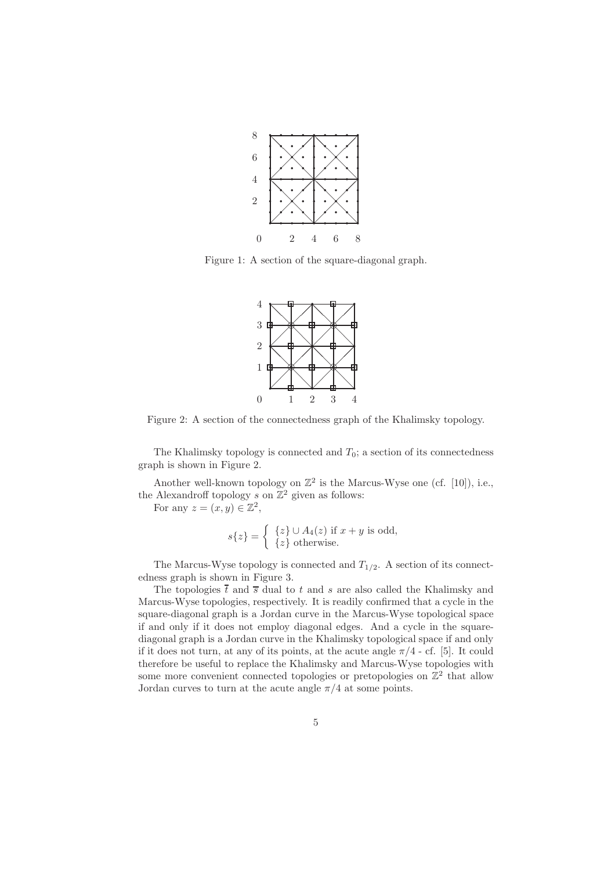

Figure 1: A section of the square-diagonal graph.



Figure 2: A section of the connectedness graph of the Khalimsky topology.

The Khalimsky topology is connected and  $T_0$ ; a section of its connectedness graph is shown in Figure 2.

Another well-known topology on  $\mathbb{Z}^2$  is the Marcus-Wyse one (cf. [10]), i.e., the Alexandroff topology s on  $\mathbb{Z}^2$  given as follows:

For any  $z = (x, y) \in \mathbb{Z}^2$ ,

$$
s\{z\} = \begin{cases} \{z\} \cup A_4(z) \text{ if } x + y \text{ is odd,} \\ \{z\} \text{ otherwise.} \end{cases}
$$

The Marcus-Wyse topology is connected and  $T_{1/2}$ . A section of its connectedness graph is shown in Figure 3.

The topologies  $\bar{t}$  and  $\bar{s}$  dual to t and s are also called the Khalimsky and Marcus-Wyse topologies, respectively. It is readily confirmed that a cycle in the square-diagonal graph is a Jordan curve in the Marcus-Wyse topological space if and only if it does not employ diagonal edges. And a cycle in the squarediagonal graph is a Jordan curve in the Khalimsky topological space if and only if it does not turn, at any of its points, at the acute angle  $\pi/4$  - cf. [5]. It could therefore be useful to replace the Khalimsky and Marcus-Wyse topologies with some more convenient connected topologies or pretopologies on  $\mathbb{Z}^2$  that allow Jordan curves to turn at the acute angle  $\pi/4$  at some points.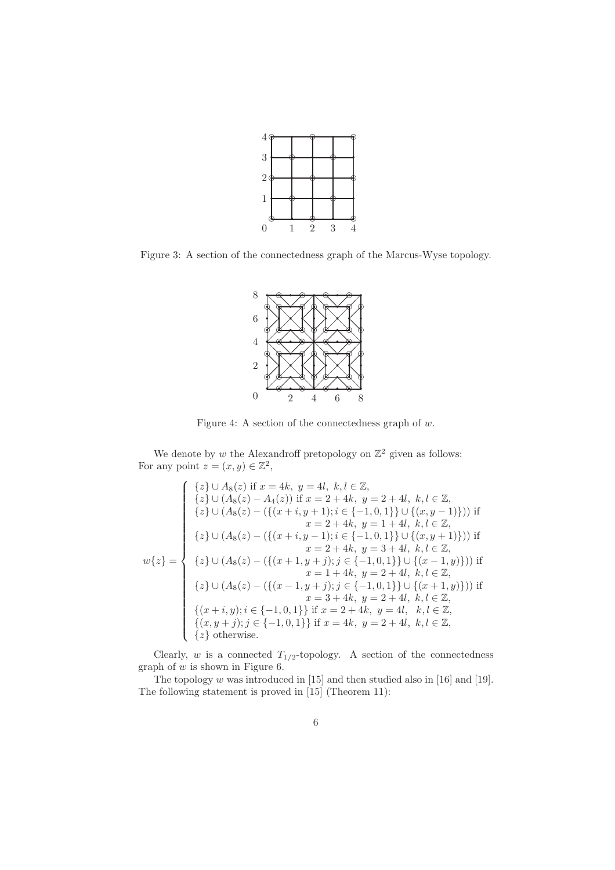

Figure 3: A section of the connectedness graph of the Marcus-Wyse topology.



Figure 4: A section of the connectedness graph of  $w$ .

We denote by w the Alexandroff pretopology on  $\mathbb{Z}^2$  given as follows: For any point  $z = (x, y) \in \mathbb{Z}^2$ ,

$$
w\{z\} = \begin{cases} \{z\} \cup A_8(z) \text{ if } x = 4k, y = 4l, k, l \in \mathbb{Z}, \\ \{z\} \cup (A_8(z) - A_4(z)) \text{ if } x = 2 + 4k, y = 2 + 4l, k, l \in \mathbb{Z}, \\ \{z\} \cup (A_8(z) - (\{(x + i, y + 1); i \in \{-1, 0, 1\}\} \cup \{(x, y - 1)\})) \text{ if } \\ x = 2 + 4k, y = 1 + 4l, k, l \in \mathbb{Z}, \\ \{z\} \cup (A_8(z) - (\{(x + i, y - 1); i \in \{-1, 0, 1\}\} \cup \{(x, y + 1)\})) \text{ if } \\ x = 2 + 4k, y = 3 + 4l, k, l \in \mathbb{Z}, \\ \{z\} \cup (A_8(z) - (\{(x + 1, y + j); j \in \{-1, 0, 1\}\} \cup \{(x - 1, y)\})) \text{ if } \\ x = 1 + 4k, y = 2 + 4l, k, l \in \mathbb{Z}, \\ \{z\} \cup (A_8(z) - (\{(x - 1, y + j); j \in \{-1, 0, 1\}\} \cup \{(x + 1, y)\})) \text{ if } \\ x = 3 + 4k, y = 2 + 4l, k, l \in \mathbb{Z}, \\ \{(x + i, y); i \in \{-1, 0, 1\}\} \text{ if } x = 2 + 4k, y = 4l, k, l \in \mathbb{Z}, \\ \{x, y + j\}; j \in \{-1, 0, 1\} \text{ if } x = 4k, y = 2 + 4l, k, l \in \mathbb{Z}, \\ \{z\} \text{ otherwise.} \end{cases}
$$

Clearly,  $w$  is a connected  $T_{1/2}$ -topology. A section of the connectedness graph of  $w$  is shown in Figure 6.

The topology  $w$  was introduced in [15] and then studied also in [16] and [19]. The following statement is proved in [15] (Theorem 11):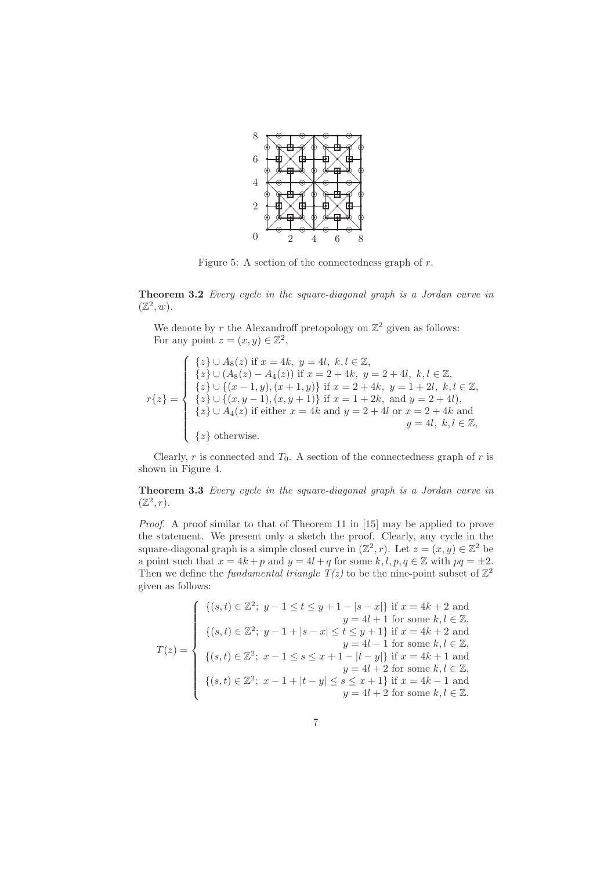

Figure 5: A section of the connectedness graph of  $r$ .

Theorem 3.2 Every cycle in the square-diagonal graph is a Jordan curve in  $(\mathbb{Z}^2, w).$ 

We denote by r the Alexandroff pretopology on  $\mathbb{Z}^2$  given as follows: For any point  $z = (x, y) \in \mathbb{Z}^2$ ,

$$
r\{z\} = \begin{cases} \{z\} \cup A_8(z) \text{ if } x = 4k, \ y = 4l, \ k, l \in \mathbb{Z}, \\ \{z\} \cup (A_8(z) - A_4(z)) \text{ if } x = 2 + 4k, \ y = 2 + 4l, \ k, l \in \mathbb{Z}, \\ \{z\} \cup \{(x - 1, y), (x + 1, y)\} \text{ if } x = 2 + 4k, \ y = 1 + 2l, \ k, l \in \mathbb{Z}, \\ \{z\} \cup \{(x, y - 1), (x, y + 1)\} \text{ if } x = 1 + 2k, \text{ and } y = 2 + 4l, \\ \{z\} \cup A_4(z) \text{ if either } x = 4k \text{ and } y = 2 + 4l \text{ or } x = 2 + 4k \text{ and } \\ y = 4l, \ k, l \in \mathbb{Z}, \\ \{z\} \text{ otherwise.} \end{cases}
$$

Clearly, r is connected and  $T_0$ . A section of the connectedness graph of r is shown in Figure 4.

Theorem 3.3 Every cycle in the square-diagonal graph is a Jordan curve in  $(\mathbb{Z}^2, r)$ .

Proof. A proof similar to that of Theorem 11 in [15] may be applied to prove the statement. We present only a sketch the proof. Clearly, any cycle in the square-diagonal graph is a simple closed curve in  $(\mathbb{Z}^2, r)$ . Let  $z = (x, y) \in \mathbb{Z}^2$  be a point such that  $x = 4k + p$  and  $y = 4l + q$  for some  $k, l, p, q \in \mathbb{Z}$  with  $pq = \pm 2$ . Then we define the *fundamental triangle*  $T(z)$  to be the nine-point subset of  $\mathbb{Z}^2$ given as follows:

$$
T(z) = \begin{cases} \n\{(s,t) \in \mathbb{Z}^2; \ y-1 \le t \le y+1-|s-x|\} \text{ if } x = 4k+2 \text{ and } \\ \n\{ (s,t) \in \mathbb{Z}^2; \ y-1+|s-x| \le t \le y+1 \} \text{ if } x = 4k+2 \text{ and } \\ \n\{ (s,t) \in \mathbb{Z}^2; \ x-1 \le s \le x+1-|t-y|\} \text{ if } x = 4k+1 \text{ and } \\ \n\{ (s,t) \in \mathbb{Z}^2; \ x-1 \le s \le x+1-|t-y|\} \text{ if } x = 4k+1 \text{ and } \\ \n\{ (s,t) \in \mathbb{Z}^2; \ x-1+|t-y| \le s \le x+1 \} \text{ if } x = 4k-1 \text{ and } \\ \n\{ (s,t) \in \mathbb{Z}^2; \ x-1+|t-y| \le s \le x+1 \} \text{ if } x = 4k-1 \text{ and } \\ \n\{ y = 4l+2 \text{ for some } k, l \in \mathbb{Z}. \n\end{cases}
$$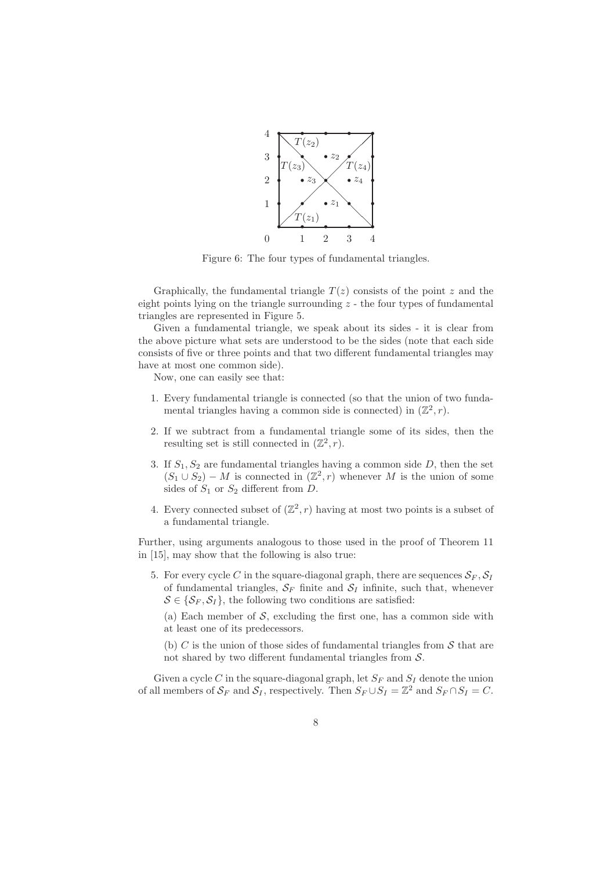

Figure 6: The four types of fundamental triangles.

Graphically, the fundamental triangle  $T(z)$  consists of the point z and the eight points lying on the triangle surrounding  $z$  - the four types of fundamental triangles are represented in Figure 5.

Given a fundamental triangle, we speak about its sides - it is clear from the above picture what sets are understood to be the sides (note that each side consists of five or three points and that two different fundamental triangles may have at most one common side).

Now, one can easily see that:

- 1. Every fundamental triangle is connected (so that the union of two fundamental triangles having a common side is connected) in  $(\mathbb{Z}^2, r)$ .
- 2. If we subtract from a fundamental triangle some of its sides, then the resulting set is still connected in  $(\mathbb{Z}^2, r)$ .
- 3. If  $S_1, S_2$  are fundamental triangles having a common side D, then the set  $(S_1 \cup S_2) - M$  is connected in  $(\mathbb{Z}^2, r)$  whenever M is the union of some sides of  $S_1$  or  $S_2$  different from D.
- 4. Every connected subset of  $(\mathbb{Z}^2, r)$  having at most two points is a subset of a fundamental triangle.

Further, using arguments analogous to those used in the proof of Theorem 11 in [15], may show that the following is also true:

5. For every cycle C in the square-diagonal graph, there are sequences  $S_F$ ,  $S_I$ of fundamental triangles,  $S_F$  finite and  $S_I$  infinite, such that, whenever  $S \in \{S_F, S_I\}$ , the following two conditions are satisfied:

(a) Each member of  $S$ , excluding the first one, has a common side with at least one of its predecessors.

(b) C is the union of those sides of fundamental triangles from  $\mathcal S$  that are not shared by two different fundamental triangles from  $S$ .

Given a cycle C in the square-diagonal graph, let  $S_F$  and  $S_I$  denote the union of all members of  $S_F$  and  $S_I$ , respectively. Then  $S_F \cup S_I = \mathbb{Z}^2$  and  $S_F \cap S_I = C$ .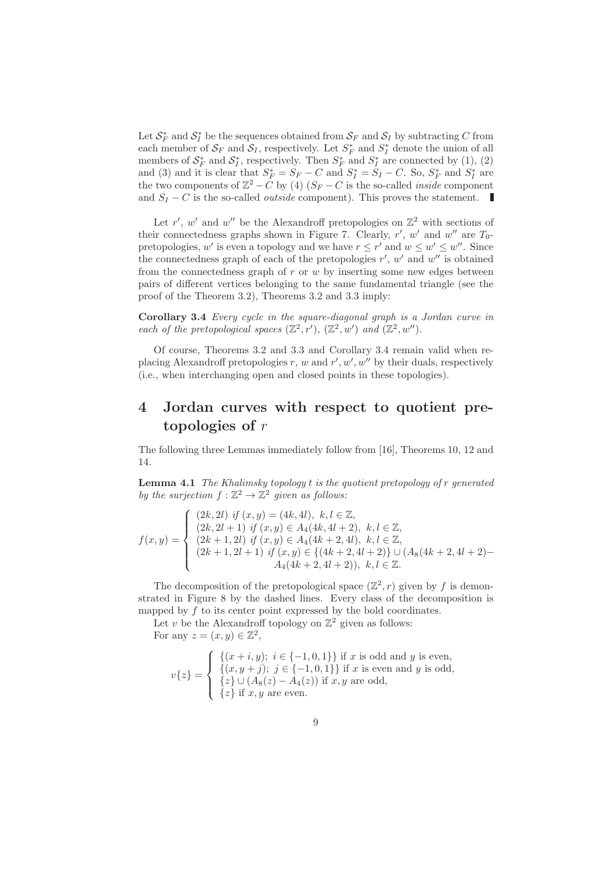Let  $S_F^*$  and  $S_I^*$  be the sequences obtained from  $S_F$  and  $S_I$  by subtracting C from each member of  $S_F$  and  $S_I$ , respectively. Let  $S_F^*$  and  $S_I^*$  denote the union of all members of  $S_F^*$  and  $S_I^*$ , respectively. Then  $S_F^*$  and  $S_I^*$  are connected by (1), (2) and (3) and it is clear that  $S_F^* = S_F - C$  and  $S_I^* = S_I - C$ . So,  $S_F^*$  and  $S_I^*$  are the two components of  $\mathbb{Z}^2 - C$  by (4)  $(S_F - C$  is the so-called *inside* component and  $S_I - C$  is the so-called *outside* component). This proves the statement.

Let r', w' and w'' be the Alexandroff pretopologies on  $\mathbb{Z}^2$  with sections of their connectedness graphs shown in Figure 7. Clearly,  $r'$ ,  $w'$  and  $w''$  are  $T_0$ pretopologies, w' is even a topology and we have  $r \leq r'$  and  $w \leq w' \leq w''$ . Since the connectedness graph of each of the pretopologies  $r'$ ,  $w'$  and  $w''$  is obtained from the connectedness graph of  $r$  or  $w$  by inserting some new edges between pairs of different vertices belonging to the same fundamental triangle (see the proof of the Theorem 3.2), Theorems 3.2 and 3.3 imply:

Corollary 3.4 Every cycle in the square-diagonal graph is a Jordan curve in each of the pretopological spaces  $(\mathbb{Z}^2, r')$ ,  $(\mathbb{Z}^2, w')$  and  $(\mathbb{Z}^2, w'')$ .

Of course, Theorems 3.2 and 3.3 and Corollary 3.4 remain valid when replacing Alexandroff pretopologies r, w and  $r', w', w''$  by their duals, respectively (i.e., when interchanging open and closed points in these topologies).

### 4 Jordan curves with respect to quotient pretopologies of r

The following three Lemmas immediately follow from [16], Theorems 10, 12 and 14.

**Lemma 4.1** The Khalimsky topology t is the quotient pretopology of r generated by the surjection  $f : \mathbb{Z}^2 \to \mathbb{Z}^2$  given as follows:

$$
f(x,y) = \begin{cases} (2k,2l) \text{ if } (x,y) = (4k,4l), \ k, l \in \mathbb{Z}, \\ (2k,2l+1) \text{ if } (x,y) \in A_4(4k,4l+2), \ k, l \in \mathbb{Z}, \\ (2k+1,2l) \text{ if } (x,y) \in A_4(4k+2,4l), \ k, l \in \mathbb{Z}, \\ (2k+1,2l+1) \text{ if } (x,y) \in \{(4k+2,4l+2)\} \cup (A_8(4k+2,4l+2) - A_4(4k+2,4l+2)), \ k, l \in \mathbb{Z}. \end{cases}
$$

The decomposition of the pretopological space  $(\mathbb{Z}^2, r)$  given by f is demonstrated in Figure 8 by the dashed lines. Every class of the decomposition is mapped by  $f$  to its center point expressed by the bold coordinates.

Let v be the Alexandroff topology on  $\mathbb{Z}^2$  given as follows: For any  $z = (x, y) \in \mathbb{Z}^2$ ,

$$
v\{z\} = \begin{cases} \{(x+i,y); i \in \{-1,0,1\}\} \text{ if } x \text{ is odd and } y \text{ is even,} \\ \{(x,y+j); j \in \{-1,0,1\}\} \text{ if } x \text{ is even and } y \text{ is odd,} \\ \{z\} \cup (A_8(z) - A_4(z)) \text{ if } x, y \text{ are odd,} \\ \{z\} \text{ if } x, y \text{ are even.} \end{cases}
$$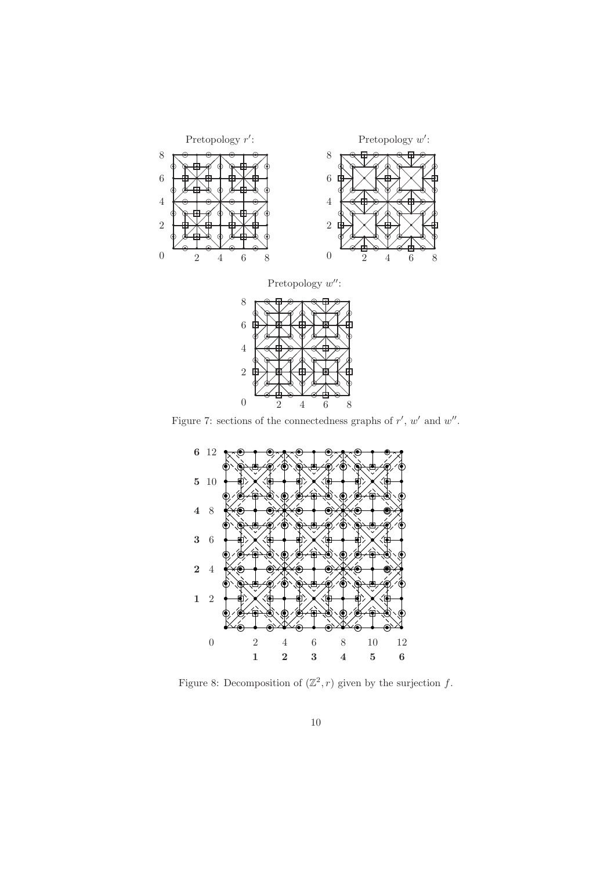

Figure 7: sections of the connectedness graphs of  $r'$ ,  $w'$  and  $w''$ .



Figure 8: Decomposition of  $(\mathbb{Z}^2, r)$  given by the surjection f.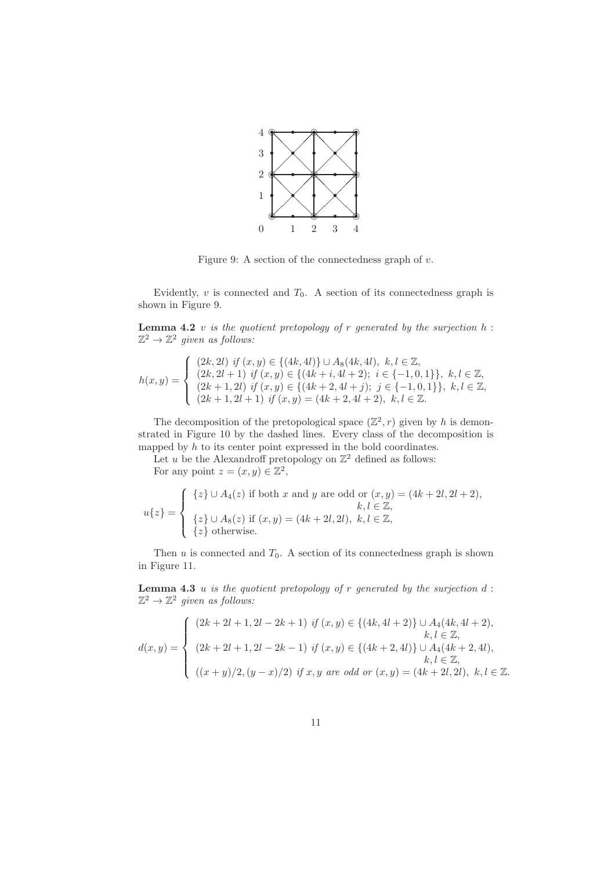

Figure 9: A section of the connectedness graph of  $v$ .

Evidently,  $v$  is connected and  $T_0$ . A section of its connectedness graph is shown in Figure 9.

**Lemma 4.2** v is the quotient pretopology of r generated by the surjection  $h$ :  $\mathbb{Z}^2 \to \mathbb{Z}^2$  given as follows:

$$
h(x,y) = \begin{cases} (2k,2l) \text{ if } (x,y) \in \{(4k,4l)\} \cup A_8(4k,4l), \ k,l \in \mathbb{Z}, \\ (2k,2l+1) \text{ if } (x,y) \in \{(4k+i,4l+2); \ i \in \{-1,0,1\}\}, \ k,l \in \mathbb{Z}, \\ (2k+1,2l) \text{ if } (x,y) \in \{(4k+2,4l+j); \ j \in \{-1,0,1\}\}, \ k,l \in \mathbb{Z}, \\ (2k+1,2l+1) \text{ if } (x,y) = (4k+2,4l+2), \ k,l \in \mathbb{Z}. \end{cases}
$$

The decomposition of the pretopological space  $(\mathbb{Z}^2, r)$  given by h is demonstrated in Figure 10 by the dashed lines. Every class of the decomposition is mapped by  $h$  to its center point expressed in the bold coordinates.

Let u be the Alexandroff pretopology on  $\mathbb{Z}^2$  defined as follows: For any point  $z = (x, y) \in \mathbb{Z}^2$ ,

$$
u\{z\} = \begin{cases} \{z\} \cup A_4(z) \text{ if both } x \text{ and } y \text{ are odd or } (x, y) = (4k + 2l, 2l + 2), \\ k, l \in \mathbb{Z}, \\ \{z\} \cup A_8(z) \text{ if } (x, y) = (4k + 2l, 2l), k, l \in \mathbb{Z}, \\ \{z\} \text{ otherwise.} \end{cases}
$$

Then  $u$  is connected and  $T_0$ . A section of its connectedness graph is shown in Figure 11.

**Lemma 4.3** u is the quotient pretopology of r generated by the surjection  $d$ :  $\mathbb{Z}^2 \to \mathbb{Z}^2$  given as follows:

$$
d(x,y) = \begin{cases} (2k+2l+1,2l-2k+1) & \text{if } (x,y) \in \{(4k,4l+2)\} \cup A_4(4k,4l+2), \\ (2k+2l+1,2l-2k-1) & \text{if } (x,y) \in \{(4k+2,4l)\} \cup A_4(4k+2,4l), \\ (2k+2l+1,2l-2k-1) & \text{if } (x,y) \in \{(4k+2,4l)\} \cup A_4(4k+2,4l), \\ (2k+2l,2l,2k,2k-1) & \text{if } (x,y) \in A_4(4k,2l,2l), k,l \in \mathbb{Z}. \end{cases}
$$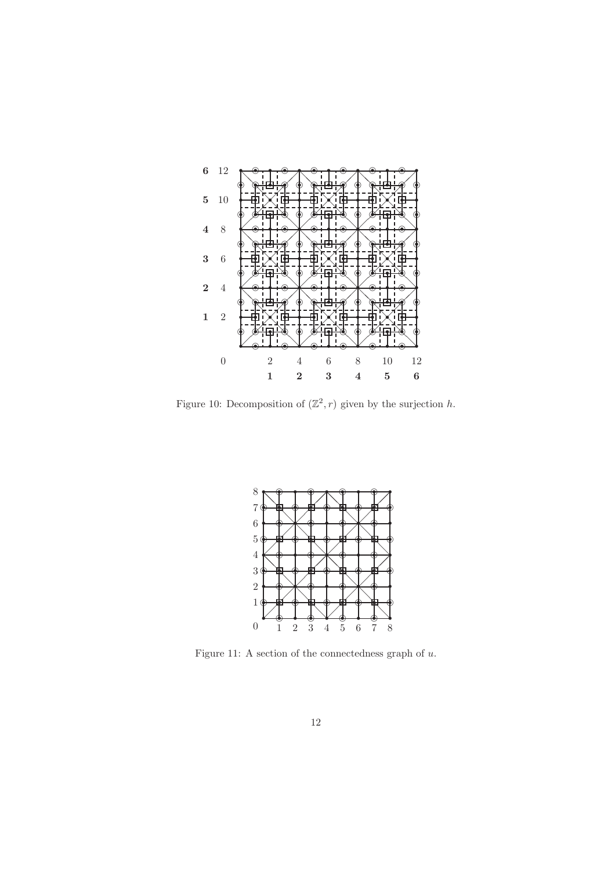

Figure 10: Decomposition of  $(\mathbb{Z}^2, r)$  given by the surjection h.



Figure 11: A section of the connectedness graph of  $u$ .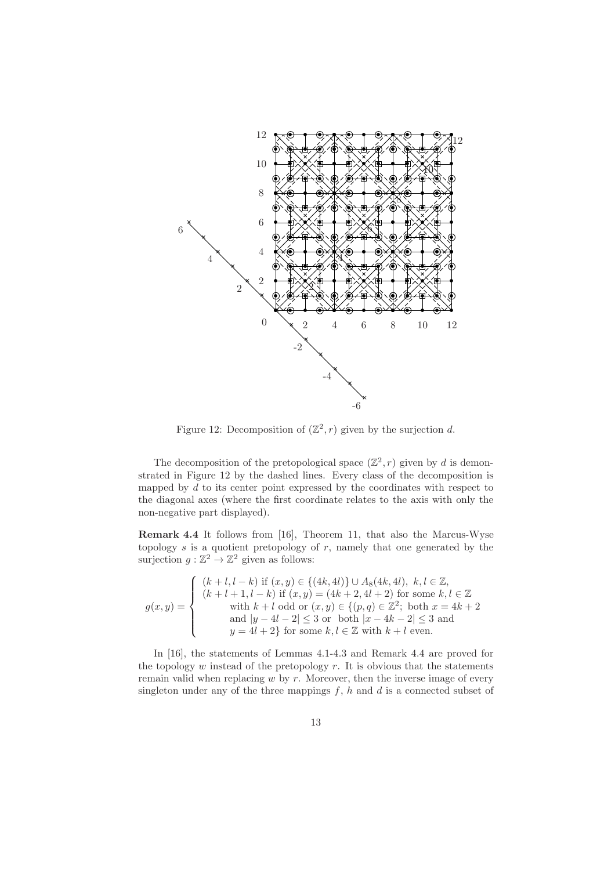

Figure 12: Decomposition of  $(\mathbb{Z}^2, r)$  given by the surjection d.

The decomposition of the pretopological space  $(\mathbb{Z}^2, r)$  given by d is demonstrated in Figure 12 by the dashed lines. Every class of the decomposition is mapped by  $d$  to its center point expressed by the coordinates with respect to the diagonal axes (where the first coordinate relates to the axis with only the non-negative part displayed).

Remark 4.4 It follows from [16], Theorem 11, that also the Marcus-Wyse topology  $s$  is a quotient pretopology of  $r$ , namely that one generated by the surjection  $g: \mathbb{Z}^2 \to \mathbb{Z}^2$  given as follows:

$$
g(x,y) = \begin{cases} (k+l, l-k) \text{ if } (x,y) \in \{(4k,4l)\} \cup A_8(4k,4l), \ k, l \in \mathbb{Z}, \\ (k+l+1, l-k) \text{ if } (x,y) = (4k+2,4l+2) \text{ for some } k, l \in \mathbb{Z} \\ \text{with } k+l \text{ odd or } (x,y) \in \{(p,q) \in \mathbb{Z}^2; \text{ both } x = 4k+2 \\ \text{and } |y-4l-2| \leq 3 \text{ or both } |x-4k-2| \leq 3 \text{ and } \\ y = 4l+2 \} \text{ for some } k, l \in \mathbb{Z} \text{ with } k+l \text{ even.} \end{cases}
$$

In [16], the statements of Lemmas 4.1-4.3 and Remark 4.4 are proved for the topology  $w$  instead of the pretopology  $r$ . It is obvious that the statements remain valid when replacing  $w$  by  $r$ . Moreover, then the inverse image of every singleton under any of the three mappings  $f$ ,  $h$  and  $d$  is a connected subset of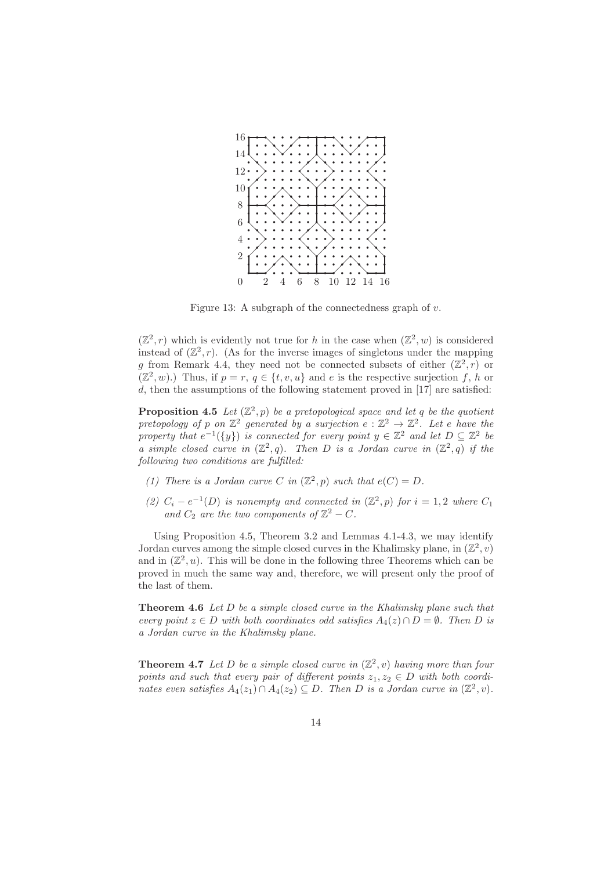

Figure 13: A subgraph of the connectedness graph of  $v$ .

 $(\mathbb{Z}^2, r)$  which is evidently not true for h in the case when  $(\mathbb{Z}^2, w)$  is considered instead of  $(\mathbb{Z}^2, r)$ . (As for the inverse images of singletons under the mapping g from Remark 4.4, they need not be connected subsets of either  $(\mathbb{Z}^2, r)$  or  $(\mathbb{Z}^2, w)$ .) Thus, if  $p = r, q \in \{t, v, u\}$  and e is the respective surjection f, h or  $d$ , then the assumptions of the following statement proved in [17] are satisfied:

**Proposition 4.5** Let  $(\mathbb{Z}^2, p)$  be a pretopological space and let q be the quotient pretopology of p on  $\mathbb{Z}^2$  generated by a surjection  $e : \mathbb{Z}^2 \to \mathbb{Z}^2$ . Let e have the property that  $e^{-1}(\{y\})$  is connected for every point  $y \in \mathbb{Z}^2$  and let  $D \subseteq \mathbb{Z}^2$  be a simple closed curve in  $(\mathbb{Z}^2, q)$ . Then D is a Jordan curve in  $(\mathbb{Z}^2, q)$  if the following two conditions are fulfilled:

- (1) There is a Jordan curve C in  $(\mathbb{Z}^2, p)$  such that  $e(C) = D$ .
- (2)  $C_i e^{-1}(D)$  is nonempty and connected in  $(\mathbb{Z}^2, p)$  for  $i = 1, 2$  where  $C_1$ and  $C_2$  are the two components of  $\mathbb{Z}^2 - C$ .

Using Proposition 4.5, Theorem 3.2 and Lemmas 4.1-4.3, we may identify Jordan curves among the simple closed curves in the Khalimsky plane, in  $(\mathbb{Z}^2, v)$ and in  $(\mathbb{Z}^2, u)$ . This will be done in the following three Theorems which can be proved in much the same way and, therefore, we will present only the proof of the last of them.

Theorem 4.6 Let D be a simple closed curve in the Khalimsky plane such that every point  $z \in D$  with both coordinates odd satisfies  $A_4(z) \cap D = \emptyset$ . Then D is a Jordan curve in the Khalimsky plane.

**Theorem 4.7** Let D be a simple closed curve in  $(\mathbb{Z}^2, v)$  having more than four points and such that every pair of different points  $z_1, z_2 \in D$  with both coordinates even satisfies  $A_4(z_1) \cap A_4(z_2) \subseteq D$ . Then D is a Jordan curve in  $(\mathbb{Z}^2, v)$ .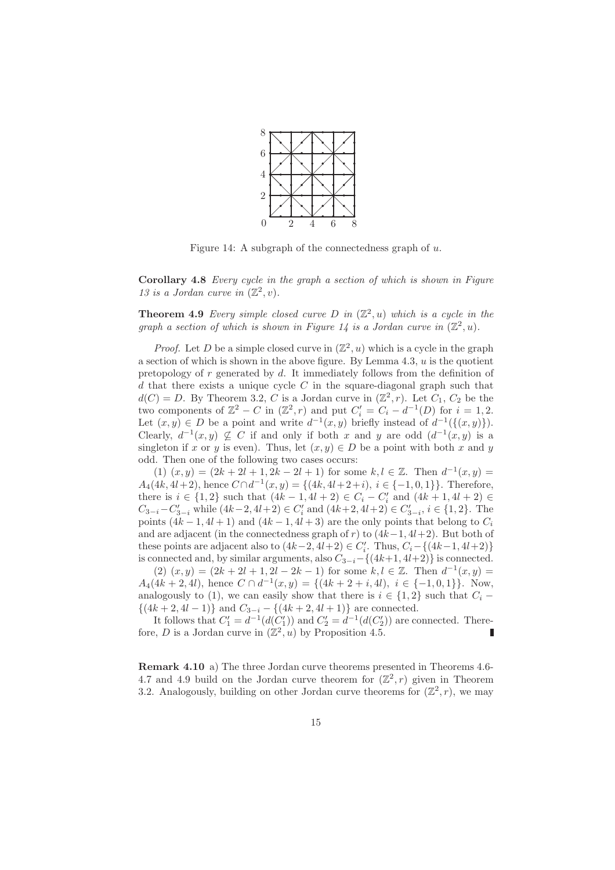

Figure 14: A subgraph of the connectedness graph of  $u$ .

Corollary 4.8 Every cycle in the graph a section of which is shown in Figure 13 is a Jordan curve in  $(\mathbb{Z}^2, v)$ .

**Theorem 4.9** Every simple closed curve D in  $(\mathbb{Z}^2, u)$  which is a cycle in the graph a section of which is shown in Figure 14 is a Jordan curve in  $(\mathbb{Z}^2, u)$ .

*Proof.* Let D be a simple closed curve in  $(\mathbb{Z}^2, u)$  which is a cycle in the graph a section of which is shown in the above figure. By Lemma  $4.3$ ,  $u$  is the quotient pretopology of r generated by d. It immediately follows from the definition of  $d$  that there exists a unique cycle  $C$  in the square-diagonal graph such that  $d(C) = D$ . By Theorem 3.2, C is a Jordan curve in  $(\mathbb{Z}^2, r)$ . Let  $C_1$ ,  $C_2$  be the two components of  $\mathbb{Z}^2 - C$  in  $(\mathbb{Z}^2, r)$  and put  $C_i' = C_i - d^{-1}(D)$  for  $i = 1, 2$ . Let  $(x, y) \in D$  be a point and write  $d^{-1}(x, y)$  briefly instead of  $d^{-1}(\{(x, y)\})$ . Clearly,  $d^{-1}(x, y) \nsubseteq C$  if and only if both x and y are odd  $(d^{-1}(x, y))$  is a singleton if x or y is even). Thus, let  $(x, y) \in D$  be a point with both x and y odd. Then one of the following two cases occurs:

(1)  $(x, y) = (2k + 2l + 1, 2k - 2l + 1)$  for some  $k, l \in \mathbb{Z}$ . Then  $d^{-1}(x, y) =$  $A_4(4k, 4l+2)$ , hence  $C \cap d^{-1}(x, y) = \{(4k, 4l+2+i), i \in \{-1, 0, 1\}\}\.$  Therefore, there is  $i \in \{1,2\}$  such that  $(4k-1, 4l+2) \in C_i - C'_i$  and  $(4k+1, 4l+2) \in$  $C_{3-i}-C'_{3-i}$  while  $(4k-2, 4l+2) \in C'_i$  and  $(4k+2, 4l+2) \in C'_{3-i}$ ,  $i \in \{1,2\}$ . The points  $(4k-1, 4l+1)$  and  $(4k-1, 4l+3)$  are the only points that belong to  $C_i$ and are adjacent (in the connectedness graph of r) to  $(4k-1, 4l+2)$ . But both of these points are adjacent also to  $(4k-2, 4l+2) \in C_i'$ . Thus,  $C_i - \{(4k-1, 4l+2)\}$ is connected and, by similar arguments, also  $C_{3-i}$ −{(4k+1, 4l+2)} is connected.

 $(2)$   $(x,y) = (2k + 2l + 1, 2l - 2k - 1)$  for some  $k, l \in \mathbb{Z}$ . Then  $d^{-1}(x,y) =$  $A_4(4k+2, 4l)$ , hence  $C \cap d^{-1}(x, y) = \{(4k+2+i, 4l), i \in \{-1, 0, 1\}\}\.$  Now, analogously to (1), we can easily show that there is  $i \in \{1,2\}$  such that  $C_i$  −  $\{(4k+2, 4l-1)\}\$ and  $C_{3-i} - \{(4k+2, 4l+1)\}\$ are connected.

It follows that  $C_1' = d^{-1}(d(C_1'))$  and  $C_2' = d^{-1}(d(C_2'))$  are connected. Therefore, D is a Jordan curve in  $(\mathbb{Z}^2, u)$  by Proposition 4.5.

Remark 4.10 a) The three Jordan curve theorems presented in Theorems 4.6- 4.7 and 4.9 build on the Jordan curve theorem for  $(\mathbb{Z}^2, r)$  given in Theorem 3.2. Analogously, building on other Jordan curve theorems for  $(\mathbb{Z}^2, r)$ , we may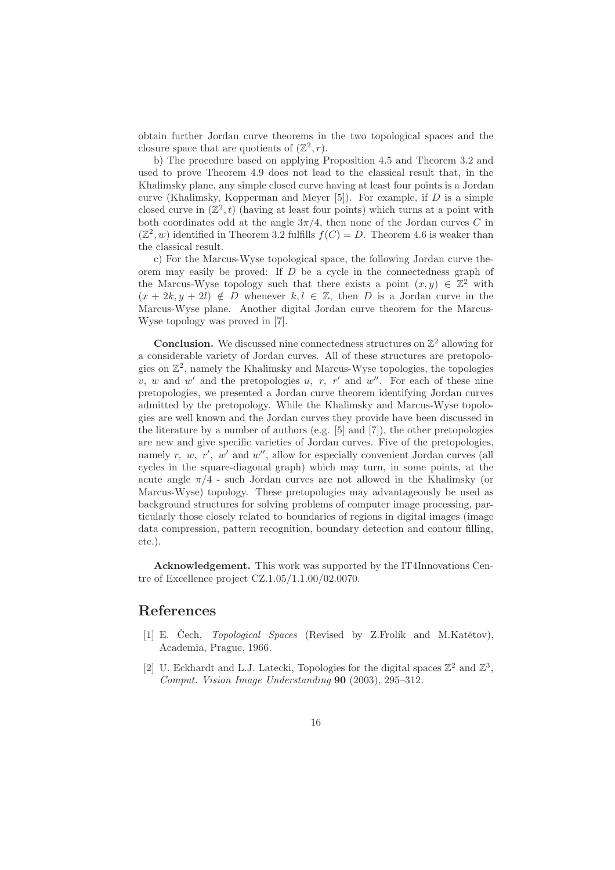obtain further Jordan curve theorems in the two topological spaces and the closure space that are quotients of  $(\mathbb{Z}^2, r)$ .

b) The procedure based on applying Proposition 4.5 and Theorem 3.2 and used to prove Theorem 4.9 does not lead to the classical result that, in the Khalimsky plane, any simple closed curve having at least four points is a Jordan curve (Khalimsky, Kopperman and Meyer  $[5]$ ). For example, if  $D$  is a simple closed curve in  $(\mathbb{Z}^2, t)$  (having at least four points) which turns at a point with both coordinates odd at the angle  $3\pi/4$ , then none of the Jordan curves C in  $(\mathbb{Z}^2, w)$  identified in Theorem 3.2 fulfills  $f(C) = D$ . Theorem 4.6 is weaker than the classical result.

c) For the Marcus-Wyse topological space, the following Jordan curve theorem may easily be proved: If  $D$  be a cycle in the connectedness graph of the Marcus-Wyse topology such that there exists a point  $(x, y) \in \mathbb{Z}^2$  with  $(x + 2k, y + 2l) \notin D$  whenever  $k, l \in \mathbb{Z}$ , then D is a Jordan curve in the Marcus-Wyse plane. Another digital Jordan curve theorem for the Marcus-Wyse topology was proved in [7].

**Conclusion.** We discussed nine connectedness structures on  $\mathbb{Z}^2$  allowing for a considerable variety of Jordan curves. All of these structures are pretopologies on Z 2 , namely the Khalimsky and Marcus-Wyse topologies, the topologies  $v, w$  and  $w'$  and the pretopologies  $u, r, r'$  and  $w''$ . For each of these nine pretopologies, we presented a Jordan curve theorem identifying Jordan curves admitted by the pretopology. While the Khalimsky and Marcus-Wyse topologies are well known and the Jordan curves they provide have been discussed in the literature by a number of authors (e.g. [5] and [7]), the other pretopologies are new and give specific varieties of Jordan curves. Five of the pretopologies, namely  $r, w, r', w'$  and  $w''$ , allow for especially convenient Jordan curves (all cycles in the square-diagonal graph) which may turn, in some points, at the acute angle  $\pi/4$  - such Jordan curves are not allowed in the Khalimsky (or Marcus-Wyse) topology. These pretopologies may advantageously be used as background structures for solving problems of computer image processing, particularly those closely related to boundaries of regions in digital images (image data compression, pattern recognition, boundary detection and contour filling, etc.).

Acknowledgement. This work was supported by the IT4Innovations Centre of Excellence project CZ.1.05/1.1.00/02.0070.

#### References

- [1] E. Cech, *Topological Spaces* (Revised by Z.Frolík and M.Katětov), Academia, Prague, 1966.
- [2] U. Eckhardt and L.J. Latecki, Topologies for the digital spaces  $\mathbb{Z}^2$  and  $\mathbb{Z}^3$ , Comput. Vision Image Understanding 90 (2003), 295–312.